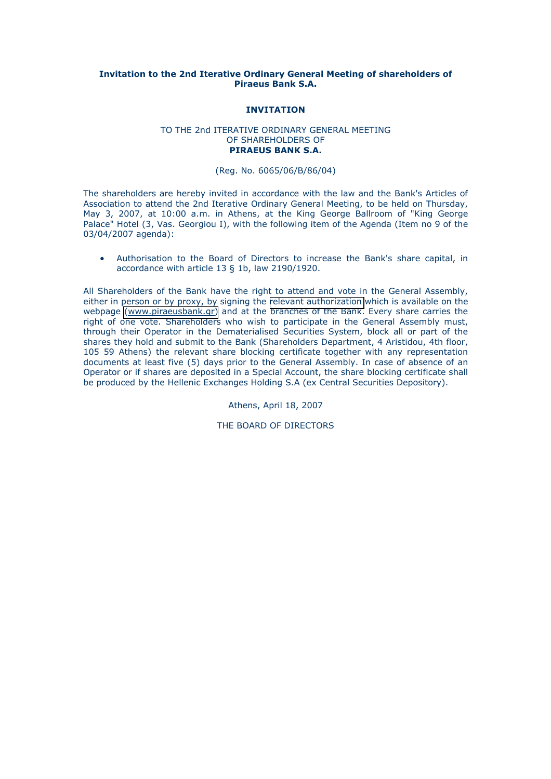## **Ιnvitation to the 2nd Iterative Ordinary General Meeting of shareholders of Piraeus Bank S.A.**

## **INVITATION**

### TO THE 2nd ITERATIVE ORDINARY GENERAL MEETING OF SHAREHOLDERS OF **PIRAEUS BANK S.A.**

### (Reg. No. 6065/06/Β/86/04)

The shareholders are hereby invited in accordance with the law and the Bank's Articles of Association to attend the 2nd Iterative Ordinary General Meeting, to be held on Thursday, May 3, 2007, at 10:00 a.m. in Athens, at the King George Ballroom of "King George Palace" Hotel (3, Vas. Georgiou I), with the following item of the Agenda (Item no 9 of the 03/04/2007 agenda):

• Authorisation to the Board of Directors to increase the Bank's share capital, in accordance with article 13 § 1b, law 2190/1920.

All Shareholders of the Bank have the right to attend and vote in the General Assembly, either in person or by proxy, by signing the [relevant authorization](#page-1-0) which is available on the webpage [\(www.piraeusbank.gr\)](http://www.piraeusbank.gr) and at the branches of the Bank. Every share carries the right of one vote. Shareholders who wish to participate in the General Assembly must, through their Operator in the Dematerialised Securities System, block all or part of the shares they hold and submit to the Bank (Shareholders Department, 4 Aristidou, 4th floor, 105 59 Athens) the relevant share blocking certificate together with any representation documents at least five (5) days prior to the General Assembly. In case of absence of an Operator or if shares are deposited in a Special Account, the share blocking certificate shall be produced by the Hellenic Exchanges Holding S.A (ex Central Securities Depository).

Athens, April 18, 2007

THE BOARD OF DIRECTORS